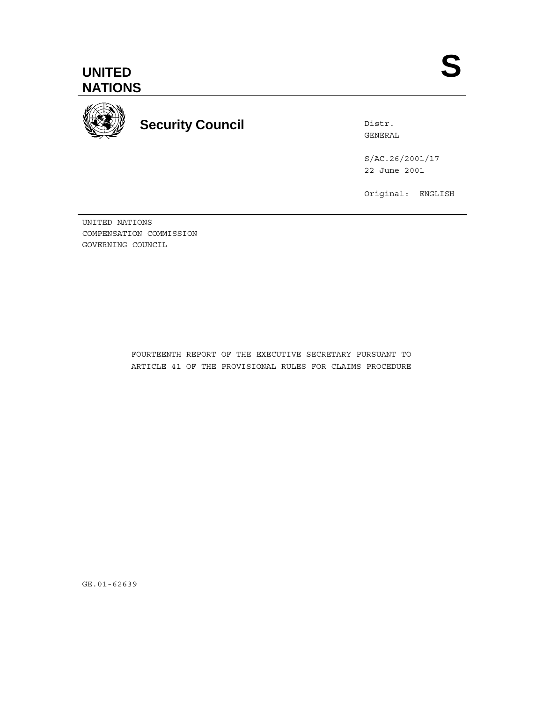

Distr. GENERAL

S/AC.26/2001/17 22 June 2001

Original: ENGLISH

UNITED NATIONS COMPENSATION COMMISSION GOVERNING COUNCIL

> FOURTEENTH REPORT OF THE EXECUTIVE SECRETARY PURSUANT TO ARTICLE 41 OF THE PROVISIONAL RULES FOR CLAIMS PROCEDURE

GE.01-62639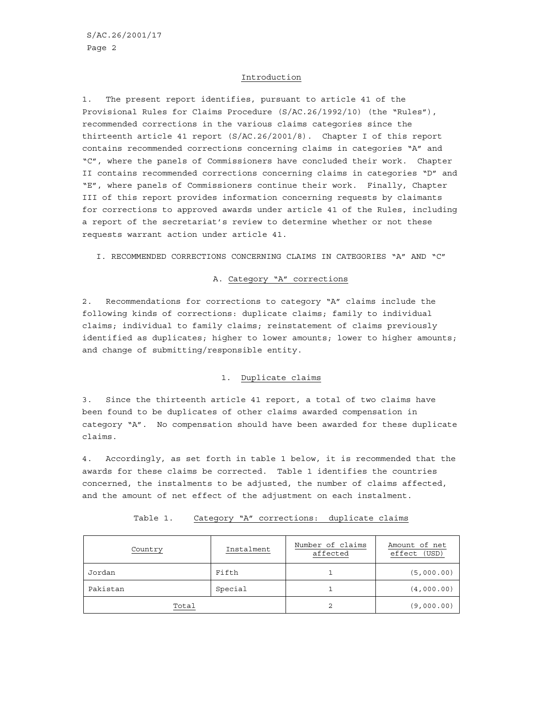#### Introduction

1. The present report identifies, pursuant to article 41 of the Provisional Rules for Claims Procedure (S/AC.26/1992/10) (the "Rules"), recommended corrections in the various claims categories since the thirteenth article 41 report (S/AC.26/2001/8). Chapter I of this report contains recommended corrections concerning claims in categories "A" and "C", where the panels of Commissioners have concluded their work. Chapter II contains recommended corrections concerning claims in categories "D" and "E", where panels of Commissioners continue their work. Finally, Chapter III of this report provides information concerning requests by claimants for corrections to approved awards under article 41 of the Rules, including a report of the secretariat's review to determine whether or not these requests warrant action under article 41.

I. RECOMMENDED CORRECTIONS CONCERNING CLAIMS IN CATEGORIES "A" AND "C"

#### A. Category "A" corrections

2. Recommendations for corrections to category "A" claims include the following kinds of corrections: duplicate claims; family to individual claims; individual to family claims; reinstatement of claims previously identified as duplicates; higher to lower amounts; lower to higher amounts; and change of submitting/responsible entity.

#### 1. Duplicate claims

3. Since the thirteenth article 41 report, a total of two claims have been found to be duplicates of other claims awarded compensation in category "A". No compensation should have been awarded for these duplicate claims.

4. Accordingly, as set forth in table 1 below, it is recommended that the awards for these claims be corrected. Table 1 identifies the countries concerned, the instalments to be adjusted, the number of claims affected, and the amount of net effect of the adjustment on each instalment.

| Country  | Instalment | Number of claims<br>affected | Amount of net<br>(USD)<br>effect |
|----------|------------|------------------------------|----------------------------------|
| Jordan   | Fifth      |                              | (5,000.00)                       |
| Pakistan | Special    |                              | (4,000.00)                       |
| Total    |            |                              | (9,000.00)                       |

Table 1. Category "A" corrections: duplicate claims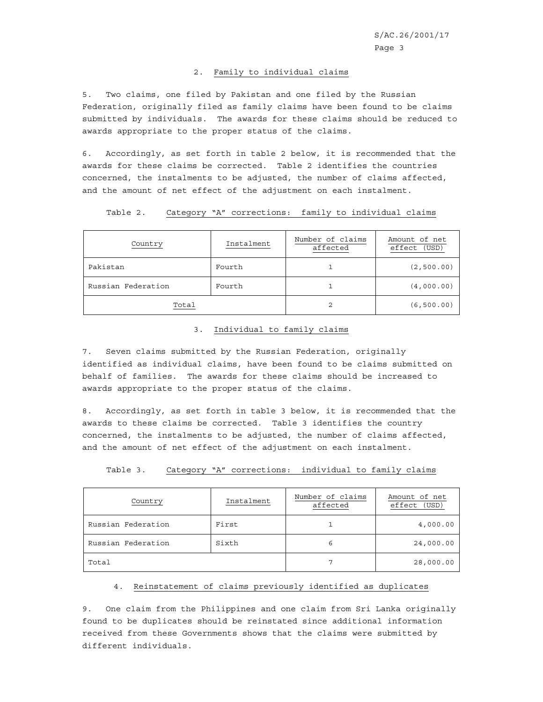#### 2. Family to individual claims

5. Two claims, one filed by Pakistan and one filed by the Russian Federation, originally filed as family claims have been found to be claims submitted by individuals. The awards for these claims should be reduced to awards appropriate to the proper status of the claims.

6. Accordingly, as set forth in table 2 below, it is recommended that the awards for these claims be corrected. Table 2 identifies the countries concerned, the instalments to be adjusted, the number of claims affected, and the amount of net effect of the adjustment on each instalment.

| Table 2. |  | Category "A" corrections: family to individual claims |  |  |  |
|----------|--|-------------------------------------------------------|--|--|--|
|----------|--|-------------------------------------------------------|--|--|--|

| Country            | Instalment | Number of claims<br>affected | Amount of net<br>effect<br>(USD) |
|--------------------|------------|------------------------------|----------------------------------|
| Pakistan           | Fourth     |                              | (2, 500.00)                      |
| Russian Federation | Fourth     |                              | (4,000.00)                       |
| Total              |            |                              | (6, 500.00)                      |

#### 3. Individual to family claims

7. Seven claims submitted by the Russian Federation, originally identified as individual claims, have been found to be claims submitted on behalf of families. The awards for these claims should be increased to awards appropriate to the proper status of the claims.

8. Accordingly, as set forth in table 3 below, it is recommended that the awards to these claims be corrected. Table 3 identifies the country concerned, the instalments to be adjusted, the number of claims affected, and the amount of net effect of the adjustment on each instalment.

| Country            | Instalment | Number of claims<br>affected | Amount of net<br>(USD)<br>effect |
|--------------------|------------|------------------------------|----------------------------------|
| Russian Federation | First      |                              | 4,000.00                         |
| Russian Federation | Sixth      | 6                            | 24,000.00                        |
| Total              |            |                              | 28,000.00                        |

Table 3. Category "A" corrections: individual to family claims

#### 4. Reinstatement of claims previously identified as duplicates

9. One claim from the Philippines and one claim from Sri Lanka originally found to be duplicates should be reinstated since additional information received from these Governments shows that the claims were submitted by different individuals.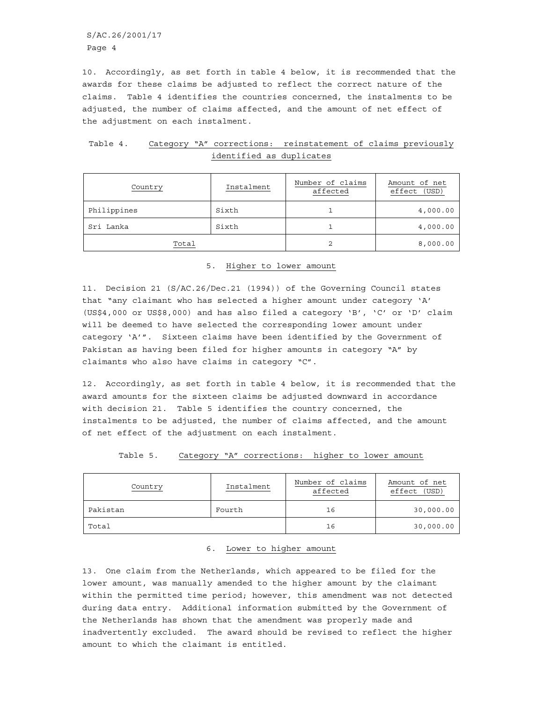S/AC.26/2001/17 Page 4

10. Accordingly, as set forth in table 4 below, it is recommended that the awards for these claims be adjusted to reflect the correct nature of the claims. Table 4 identifies the countries concerned, the instalments to be adjusted, the number of claims affected, and the amount of net effect of the adjustment on each instalment.

|  |                          | Table 4. Category "A" corrections: reinstatement of claims previously |  |  |
|--|--------------------------|-----------------------------------------------------------------------|--|--|
|  | identified as duplicates |                                                                       |  |  |

| Country     | Instalment | Number of claims<br>affected | Amount of net<br>effect (USD) |
|-------------|------------|------------------------------|-------------------------------|
| Philippines | Sixth      |                              | 4,000.00                      |
| Sri Lanka   | Sixth      |                              | 4,000.00                      |
| Total       |            |                              | 8,000.00                      |

5. Higher to lower amount

11. Decision 21 (S/AC.26/Dec.21 (1994)) of the Governing Council states that "any claimant who has selected a higher amount under category 'A' (US\$4,000 or US\$8,000) and has also filed a category 'B', 'C' or 'D' claim will be deemed to have selected the corresponding lower amount under category 'A'". Sixteen claims have been identified by the Government of Pakistan as having been filed for higher amounts in category "A" by claimants who also have claims in category "C".

12. Accordingly, as set forth in table 4 below, it is recommended that the award amounts for the sixteen claims be adjusted downward in accordance with decision 21. Table 5 identifies the country concerned, the instalments to be adjusted, the number of claims affected, and the amount of net effect of the adjustment on each instalment.

| Country  | Instalment | Number of claims<br>affected | Amount of net<br>(USD)<br>effect |
|----------|------------|------------------------------|----------------------------------|
| Pakistan | Fourth     | 16                           | 30,000.00                        |
| Total    |            | 16                           | 30,000.00                        |

Table 5. Category "A" corrections: higher to lower amount

#### 6. Lower to higher amount

13. One claim from the Netherlands, which appeared to be filed for the lower amount, was manually amended to the higher amount by the claimant within the permitted time period; however, this amendment was not detected during data entry. Additional information submitted by the Government of the Netherlands has shown that the amendment was properly made and inadvertently excluded. The award should be revised to reflect the higher amount to which the claimant is entitled.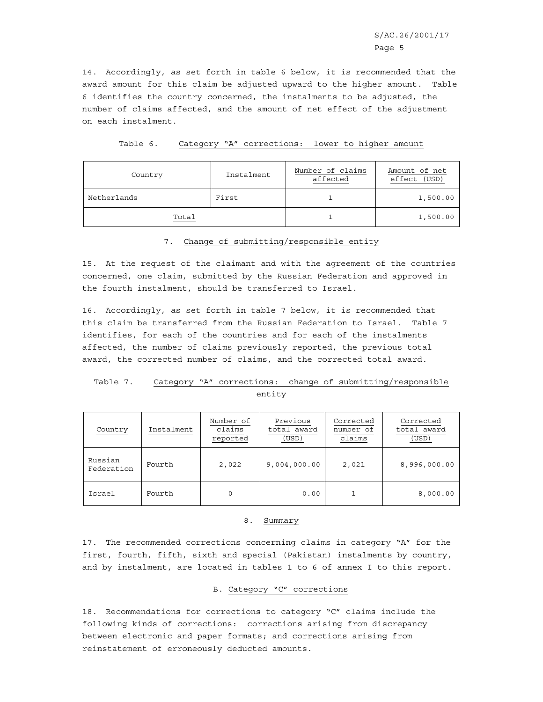14. Accordingly, as set forth in table 6 below, it is recommended that the award amount for this claim be adjusted upward to the higher amount. Table 6 identifies the country concerned, the instalments to be adjusted, the number of claims affected, and the amount of net effect of the adjustment on each instalment.

| Table 6. |  |  | Category "A" corrections: |  |  | lower to higher amount |  |
|----------|--|--|---------------------------|--|--|------------------------|--|
|----------|--|--|---------------------------|--|--|------------------------|--|

| Country     | Instalment | Number of claims<br>affected | Amount of net<br>effect (USD) |
|-------------|------------|------------------------------|-------------------------------|
| Netherlands | First      |                              | 1,500.00                      |
| Total       |            |                              | 1,500.00                      |

#### 7. Change of submitting/responsible entity

15. At the request of the claimant and with the agreement of the countries concerned, one claim, submitted by the Russian Federation and approved in the fourth instalment, should be transferred to Israel.

16. Accordingly, as set forth in table 7 below, it is recommended that this claim be transferred from the Russian Federation to Israel. Table 7 identifies, for each of the countries and for each of the instalments affected, the number of claims previously reported, the previous total award, the corrected number of claims, and the corrected total award.

# Table 7. Category "A" corrections: change of submitting/responsible entity

| Country               | Instalment | Number of<br>claims<br>reported | Previous<br>total award<br>(USD) | Corrected<br>number of<br>claims | Corrected<br>total award<br>(USD) |
|-----------------------|------------|---------------------------------|----------------------------------|----------------------------------|-----------------------------------|
| Russian<br>Federation | Fourth     | 2,022                           | 9,004,000.00                     | 2,021                            | 8,996,000.00                      |
| Israel                | Fourth     | $\Omega$                        | 0.00                             |                                  | 8,000.00                          |

#### 8. Summary

17. The recommended corrections concerning claims in category "A" for the first, fourth, fifth, sixth and special (Pakistan) instalments by country, and by instalment, are located in tables 1 to 6 of annex I to this report.

#### B. Category "C" corrections

18. Recommendations for corrections to category "C" claims include the following kinds of corrections: corrections arising from discrepancy between electronic and paper formats; and corrections arising from reinstatement of erroneously deducted amounts.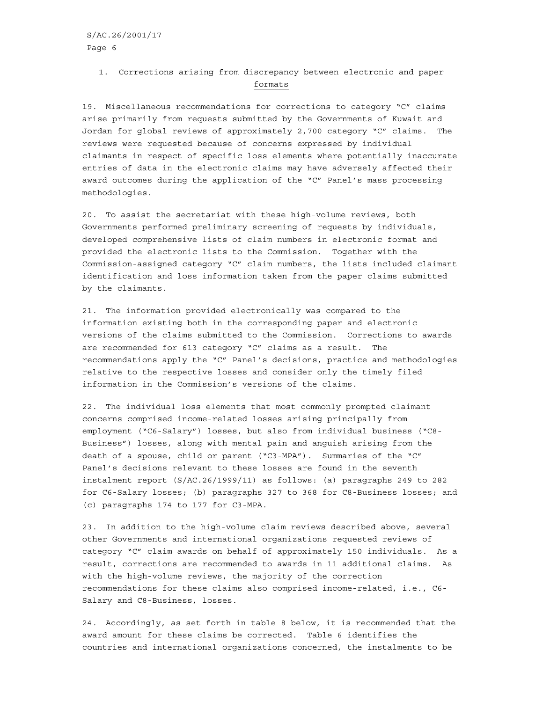# 1. Corrections arising from discrepancy between electronic and paper formats

19. Miscellaneous recommendations for corrections to category "C" claims arise primarily from requests submitted by the Governments of Kuwait and Jordan for global reviews of approximately 2,700 category "C" claims. The reviews were requested because of concerns expressed by individual claimants in respect of specific loss elements where potentially inaccurate entries of data in the electronic claims may have adversely affected their award outcomes during the application of the "C" Panel's mass processing methodologies.

20. To assist the secretariat with these high-volume reviews, both Governments performed preliminary screening of requests by individuals, developed comprehensive lists of claim numbers in electronic format and provided the electronic lists to the Commission. Together with the Commission-assigned category "C" claim numbers, the lists included claimant identification and loss information taken from the paper claims submitted by the claimants.

21. The information provided electronically was compared to the information existing both in the corresponding paper and electronic versions of the claims submitted to the Commission. Corrections to awards are recommended for 613 category "C" claims as a result. The recommendations apply the "C" Panel's decisions, practice and methodologies relative to the respective losses and consider only the timely filed information in the Commission's versions of the claims.

22. The individual loss elements that most commonly prompted claimant concerns comprised income-related losses arising principally from employment ("C6-Salary") losses, but also from individual business ("C8- Business") losses, along with mental pain and anguish arising from the death of a spouse, child or parent ("C3-MPA"). Summaries of the "C" Panel's decisions relevant to these losses are found in the seventh instalment report (S/AC.26/1999/11) as follows: (a) paragraphs 249 to 282 for C6-Salary losses; (b) paragraphs 327 to 368 for C8-Business losses; and (c) paragraphs 174 to 177 for C3-MPA.

23. In addition to the high-volume claim reviews described above, several other Governments and international organizations requested reviews of category "C" claim awards on behalf of approximately 150 individuals. As a result, corrections are recommended to awards in 11 additional claims. As with the high-volume reviews, the majority of the correction recommendations for these claims also comprised income-related, i.e., C6- Salary and C8-Business, losses.

24. Accordingly, as set forth in table 8 below, it is recommended that the award amount for these claims be corrected. Table 6 identifies the countries and international organizations concerned, the instalments to be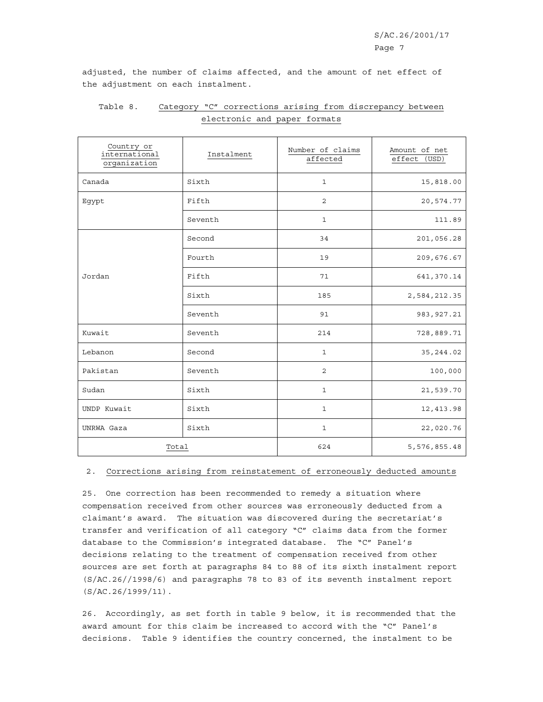adjusted, the number of claims affected, and the amount of net effect of the adjustment on each instalment.

| Country or<br>international<br>organization | Instalment | Number of claims<br>affected | Amount of net<br>effect (USD) |
|---------------------------------------------|------------|------------------------------|-------------------------------|
| Canada                                      | Sixth      | $\mathbf{1}$                 | 15,818.00                     |
| Egypt                                       | Fifth      | $\overline{2}$               | 20,574.77                     |
|                                             | Seventh    | $\mathbf{1}$                 | 111.89                        |
|                                             | Second     | 34                           | 201,056.28                    |
|                                             | Fourth     | 19                           | 209,676.67                    |
| Jordan                                      | Fifth      | 71                           | 641,370.14                    |
|                                             | Sixth      | 185                          | 2,584,212.35                  |
|                                             | Seventh    | 91                           | 983, 927.21                   |
| Kuwait                                      | Seventh    | 214                          | 728,889.71                    |
| Lebanon                                     | Second     | $\mathbf 1$                  | 35, 244.02                    |
| Pakistan                                    | Seventh    | $\overline{2}$               | 100,000                       |
| Sudan                                       | Sixth      | $\mathbf 1$                  | 21,539.70                     |
| UNDP Kuwait                                 | Sixth      | $\mathbf 1$                  | 12, 413.98                    |
| UNRWA Gaza                                  | Sixth      | $\mathbf{1}$                 | 22,020.76                     |
| Total                                       |            | 624                          | 5,576,855.48                  |

# Table 8. Category "C" corrections arising from discrepancy between electronic and paper formats

#### 2. Corrections arising from reinstatement of erroneously deducted amounts

25. One correction has been recommended to remedy a situation where compensation received from other sources was erroneously deducted from a claimant's award. The situation was discovered during the secretariat's transfer and verification of all category "C" claims data from the former database to the Commission's integrated database. The "C" Panel's decisions relating to the treatment of compensation received from other sources are set forth at paragraphs 84 to 88 of its sixth instalment report (S/AC.26//1998/6) and paragraphs 78 to 83 of its seventh instalment report (S/AC.26/1999/11).

26. Accordingly, as set forth in table 9 below, it is recommended that the award amount for this claim be increased to accord with the "C" Panel's decisions. Table 9 identifies the country concerned, the instalment to be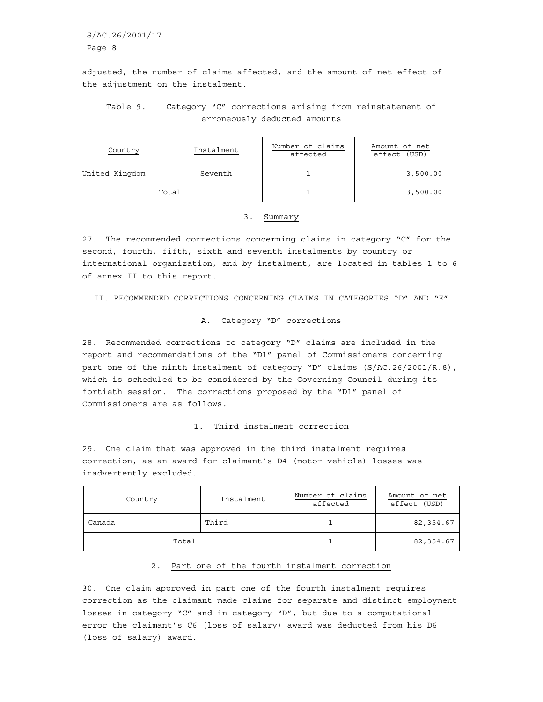S/AC.26/2001/17 Page 8

adjusted, the number of claims affected, and the amount of net effect of the adjustment on the instalment.

# Table 9. Category "C" corrections arising from reinstatement of erroneously deducted amounts

| Country        | Instalment | Number of claims<br>affected | Amount of net<br>(USD)<br>effect |
|----------------|------------|------------------------------|----------------------------------|
| United Kingdom | Seventh    |                              | 3,500.00                         |
| Total          |            |                              | 3,500.00                         |

#### 3. Summary

27. The recommended corrections concerning claims in category "C" for the second, fourth, fifth, sixth and seventh instalments by country or international organization, and by instalment, are located in tables 1 to 6 of annex II to this report.

II. RECOMMENDED CORRECTIONS CONCERNING CLAIMS IN CATEGORIES "D" AND "E"

#### A. Category "D" corrections

28. Recommended corrections to category "D" claims are included in the report and recommendations of the "D1" panel of Commissioners concerning part one of the ninth instalment of category "D" claims (S/AC.26/2001/R.8), which is scheduled to be considered by the Governing Council during its fortieth session. The corrections proposed by the "D1" panel of Commissioners are as follows.

#### 1. Third instalment correction

29. One claim that was approved in the third instalment requires correction, as an award for claimant's D4 (motor vehicle) losses was inadvertently excluded.

| Country | Instalment | Number of claims<br>affected | Amount of net<br>effect (USD) |
|---------|------------|------------------------------|-------------------------------|
| Canada  | Third      |                              | 82, 354.67                    |
| Total   |            |                              | 82,354.67                     |

#### 2. Part one of the fourth instalment correction

30. One claim approved in part one of the fourth instalment requires correction as the claimant made claims for separate and distinct employment losses in category "C" and in category "D", but due to a computational error the claimant's C6 (loss of salary) award was deducted from his D6 (loss of salary) award.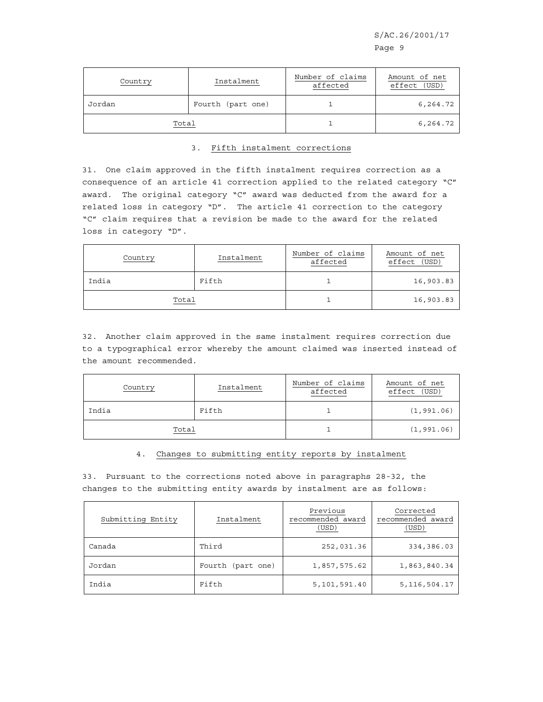S/AC.26/2001/17

| Country | Instalment        | Number of claims<br>affected | Amount of net<br>(USD)<br>effect |
|---------|-------------------|------------------------------|----------------------------------|
| Jordan  | Fourth (part one) |                              | 6,264.72                         |
| Total   |                   |                              | 6,264.72                         |

#### 3. Fifth instalment corrections

31. One claim approved in the fifth instalment requires correction as a consequence of an article 41 correction applied to the related category "C" award. The original category "C" award was deducted from the award for a related loss in category "D". The article 41 correction to the category "C" claim requires that a revision be made to the award for the related loss in category "D".

| Country | Instalment | Number of claims<br>affected | Amount of net<br>(USD)<br>effect |
|---------|------------|------------------------------|----------------------------------|
| India   | Fifth      |                              | 16,903.83                        |
| Total   |            |                              | 16,903.83                        |

32. Another claim approved in the same instalment requires correction due to a typographical error whereby the amount claimed was inserted instead of the amount recommended.

| Country | Instalment | Number of claims<br>affected | Amount of net<br>effect (USD) |
|---------|------------|------------------------------|-------------------------------|
| India   | Fifth      |                              | (1, 991.06)                   |
| Total   |            |                              | (1, 991.06)                   |

4. Changes to submitting entity reports by instalment

33. Pursuant to the corrections noted above in paragraphs 28-32, the changes to the submitting entity awards by instalment are as follows:

| Submitting Entity | Instalment        | Previous<br>recommended award<br>(USD) | Corrected<br>recommended award<br>(USD) |
|-------------------|-------------------|----------------------------------------|-----------------------------------------|
| Canada            | Third             | 252,031.36                             | 334,386.03                              |
| Jordan            | Fourth (part one) | 1,857,575.62                           | 1,863,840.34                            |
| India             | Fifth             | 5,101,591.40                           | 5, 116, 504. 17                         |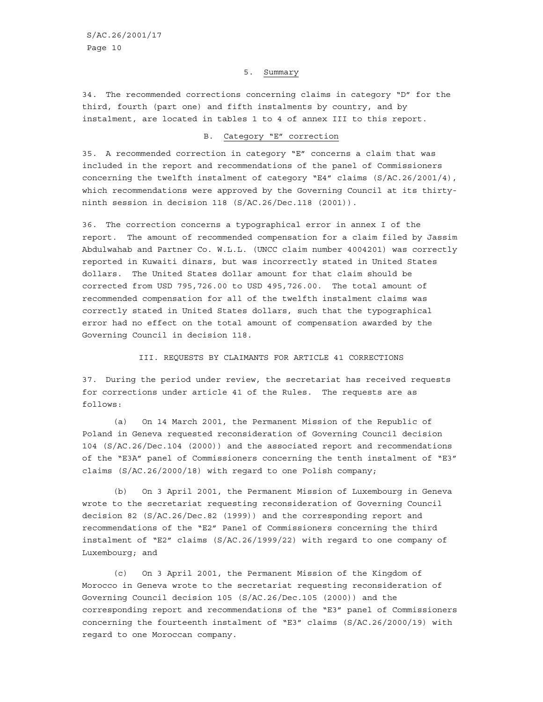#### 5. Summary

34. The recommended corrections concerning claims in category "D" for the third, fourth (part one) and fifth instalments by country, and by instalment, are located in tables 1 to 4 of annex III to this report.

## B. Category "E" correction

35. A recommended correction in category "E" concerns a claim that was included in the report and recommendations of the panel of Commissioners concerning the twelfth instalment of category "E4" claims (S/AC.26/2001/4), which recommendations were approved by the Governing Council at its thirtyninth session in decision 118 (S/AC.26/Dec.118 (2001)).

36. The correction concerns a typographical error in annex I of the report. The amount of recommended compensation for a claim filed by Jassim Abdulwahab and Partner Co. W.L.L. (UNCC claim number 4004201) was correctly reported in Kuwaiti dinars, but was incorrectly stated in United States dollars. The United States dollar amount for that claim should be corrected from USD 795,726.00 to USD 495,726.00. The total amount of recommended compensation for all of the twelfth instalment claims was correctly stated in United States dollars, such that the typographical error had no effect on the total amount of compensation awarded by the Governing Council in decision 118.

#### III. REQUESTS BY CLAIMANTS FOR ARTICLE 41 CORRECTIONS

37. During the period under review, the secretariat has received requests for corrections under article 41 of the Rules. The requests are as follows:

(a) On 14 March 2001, the Permanent Mission of the Republic of Poland in Geneva requested reconsideration of Governing Council decision 104 (S/AC.26/Dec.104 (2000)) and the associated report and recommendations of the "E3A" panel of Commissioners concerning the tenth instalment of "E3" claims (S/AC.26/2000/18) with regard to one Polish company;

(b) On 3 April 2001, the Permanent Mission of Luxembourg in Geneva wrote to the secretariat requesting reconsideration of Governing Council decision 82 (S/AC.26/Dec.82 (1999)) and the corresponding report and recommendations of the "E2" Panel of Commissioners concerning the third instalment of "E2" claims (S/AC.26/1999/22) with regard to one company of Luxembourg; and

(c) On 3 April 2001, the Permanent Mission of the Kingdom of Morocco in Geneva wrote to the secretariat requesting reconsideration of Governing Council decision 105 (S/AC.26/Dec.105 (2000)) and the corresponding report and recommendations of the "E3" panel of Commissioners concerning the fourteenth instalment of "E3" claims (S/AC.26/2000/19) with regard to one Moroccan company.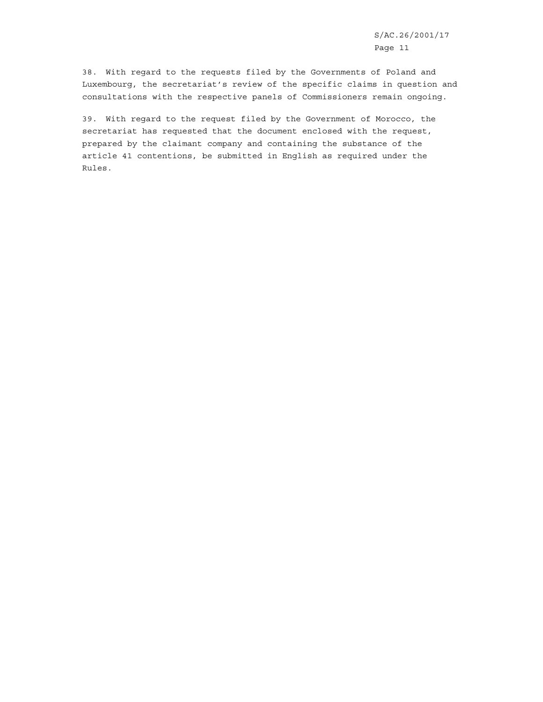S/AC.26/2001/17 Page 11

38. With regard to the requests filed by the Governments of Poland and Luxembourg, the secretariat's review of the specific claims in question and consultations with the respective panels of Commissioners remain ongoing.

39. With regard to the request filed by the Government of Morocco, the secretariat has requested that the document enclosed with the request, prepared by the claimant company and containing the substance of the article 41 contentions, be submitted in English as required under the Rules.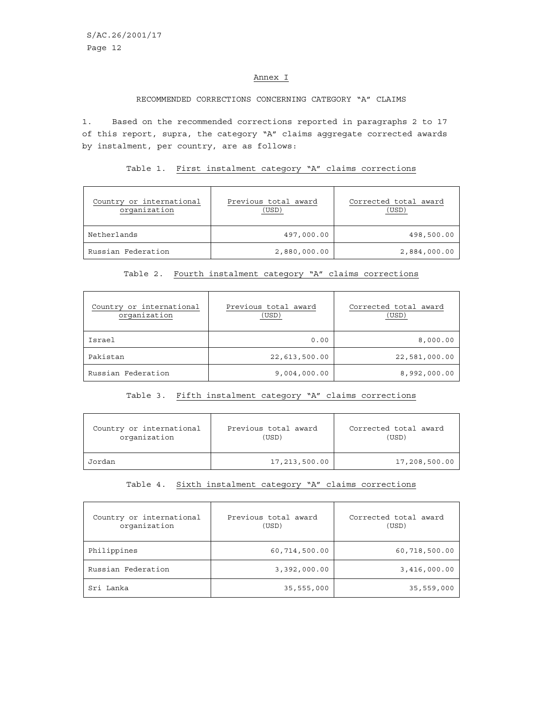#### Annex I

#### RECOMMENDED CORRECTIONS CONCERNING CATEGORY "A" CLAIMS

1. Based on the recommended corrections reported in paragraphs 2 to 17 of this report, supra, the category "A" claims aggregate corrected awards by instalment, per country, are as follows:

## Table 1. First instalment category "A" claims corrections

| Country or international<br>organization | Previous total award<br>(USD) | Corrected total award<br>(USD) |
|------------------------------------------|-------------------------------|--------------------------------|
| Netherlands                              | 497,000.00                    | 498,500.00                     |
| Russian Federation                       | 2,880,000.00                  | 2,884,000.00                   |

#### Table 2. Fourth instalment category "A" claims corrections

| Country or international<br>organization | Previous total award<br>(USD) | Corrected total award<br>(USD) |
|------------------------------------------|-------------------------------|--------------------------------|
| Israel                                   | 0.00                          | 8,000.00                       |
| Pakistan                                 | 22,613,500.00                 | 22,581,000.00                  |
| Russian Federation                       | 9,004,000.00                  | 8,992,000.00                   |

# Table 3. Fifth instalment category "A" claims corrections

| Country or international | Previous total award | Corrected total award |
|--------------------------|----------------------|-----------------------|
| organization             | (USD)                | (USD)                 |
| Jordan                   | 17,213,500.00        | 17,208,500.00         |

#### Table 4. Sixth instalment category "A" claims corrections

| Country or international<br>organization | Previous total award<br>(USD) | Corrected total award<br>(USD) |
|------------------------------------------|-------------------------------|--------------------------------|
| Philippines                              | 60,714,500.00                 | 60,718,500.00                  |
| Russian Federation                       | 3,392,000.00                  | 3,416,000.00                   |
| Sri Lanka                                | 35,555,000                    | 35,559,000                     |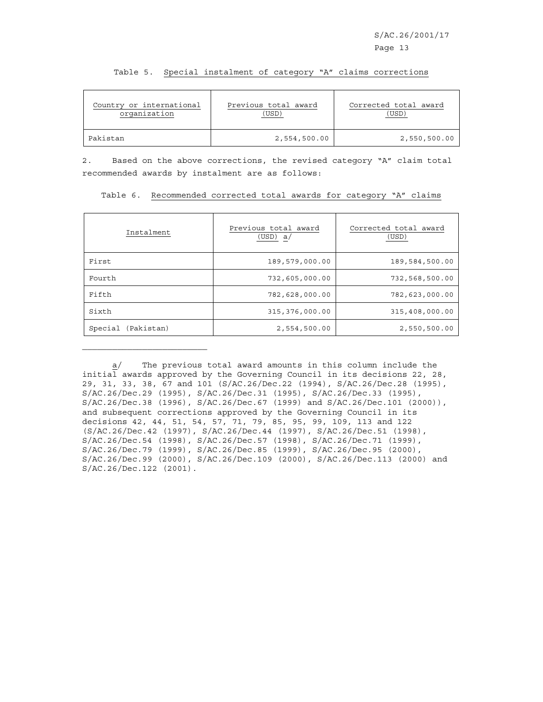| Country or international | Previous total award | Corrected total award |
|--------------------------|----------------------|-----------------------|
| organization             | (USD)                | USD)                  |
| Pakistan                 | 2,554,500.00         | 2,550,500.00          |

Table 5. Special instalment of category "A" claims corrections

2. Based on the above corrections, the revised category "A" claim total recommended awards by instalment are as follows:

| Instalment | Previous total award<br>(USD) a/ | Corrected total award<br>(USD) |
|------------|----------------------------------|--------------------------------|
| First      | 189,579,000.00                   | 189,584,500.00                 |
| Fourth     | 732,605,000.00                   | 732,568,500.00                 |
| Fifth      | 782,628,000.00                   | 782,623,000.00                 |
| Sixth      | 315, 376, 000.00                 | 315,408,000.00                 |

Special (Pakistan) 2,554,500.00 2,550,500.00

 $\mathcal{L}_\text{max}$ 

Table 6. Recommended corrected total awards for category "A" claims

a/ The previous total award amounts in this column include the initial awards approved by the Governing Council in its decisions 22, 28, 29, 31, 33, 38, 67 and 101 (S/AC.26/Dec.22 (1994), S/AC.26/Dec.28 (1995), S/AC.26/Dec.29 (1995), S/AC.26/Dec.31 (1995), S/AC.26/Dec.33 (1995), S/AC.26/Dec.38 (1996), S/AC.26/Dec.67 (1999) and S/AC.26/Dec.101 (2000)), and subsequent corrections approved by the Governing Council in its decisions 42, 44, 51, 54, 57, 71, 79, 85, 95, 99, 109, 113 and 122 (S/AC.26/Dec.42 (1997), S/AC.26/Dec.44 (1997), S/AC.26/Dec.51 (1998), S/AC.26/Dec.54 (1998), S/AC.26/Dec.57 (1998), S/AC.26/Dec.71 (1999), S/AC.26/Dec.79 (1999), S/AC.26/Dec.85 (1999), S/AC.26/Dec.95 (2000), S/AC.26/Dec.99 (2000), S/AC.26/Dec.109 (2000), S/AC.26/Dec.113 (2000) and S/AC.26/Dec.122 (2001).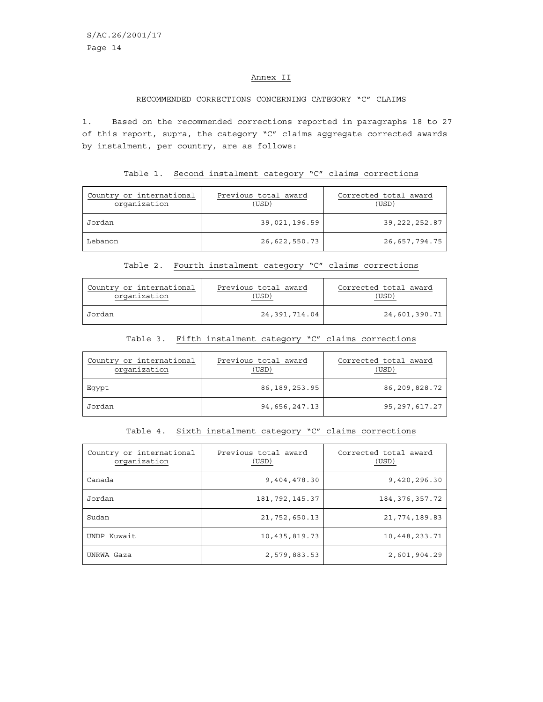#### Annex II

## RECOMMENDED CORRECTIONS CONCERNING CATEGORY "C" CLAIMS

1. Based on the recommended corrections reported in paragraphs 18 to 27 of this report, supra, the category "C" claims aggregate corrected awards by instalment, per country, are as follows:

#### Table 1. Second instalment category "C" claims corrections

| Country or international<br>organization | Previous total award<br>(USD) | Corrected total award<br>(USD) |
|------------------------------------------|-------------------------------|--------------------------------|
| Jordan                                   | 39,021,196.59                 | 39, 222, 252.87                |
| Lebanon                                  | 26,622,550.73                 | 26,657,794.75                  |

# Table 2. Fourth instalment category "C" claims corrections

| Country or international | Previous total award | Corrected total award |
|--------------------------|----------------------|-----------------------|
| organization             | USD                  | USD                   |
| Jordan                   | 24,391,714.04        | 24,601,390.71         |

#### Table 3. Fifth instalment category "C" claims corrections

| Country or international<br>organization | Previous total award<br>(USD) | Corrected total award<br>(USD) |
|------------------------------------------|-------------------------------|--------------------------------|
| Eqypt                                    | 86, 189, 253.95               | 86,209,828.72                  |
| Jordan                                   | 94,656,247.13                 | 95,297,617.27                  |

## Table 4. Sixth instalment category "C" claims corrections

| Country or international<br>organization | Previous total award<br>(USD) | Corrected total award<br>(USD) |
|------------------------------------------|-------------------------------|--------------------------------|
| Canada                                   | 9,404,478.30                  | 9,420,296.30                   |
| Jordan                                   | 181, 792, 145.37              | 184, 376, 357. 72              |
| Sudan                                    | 21,752,650.13                 | 21,774,189.83                  |
| UNDP Kuwait                              | 10, 435, 819.73               | 10,448,233.71                  |
| UNRWA Gaza                               | 2,579,883.53                  | 2,601,904.29                   |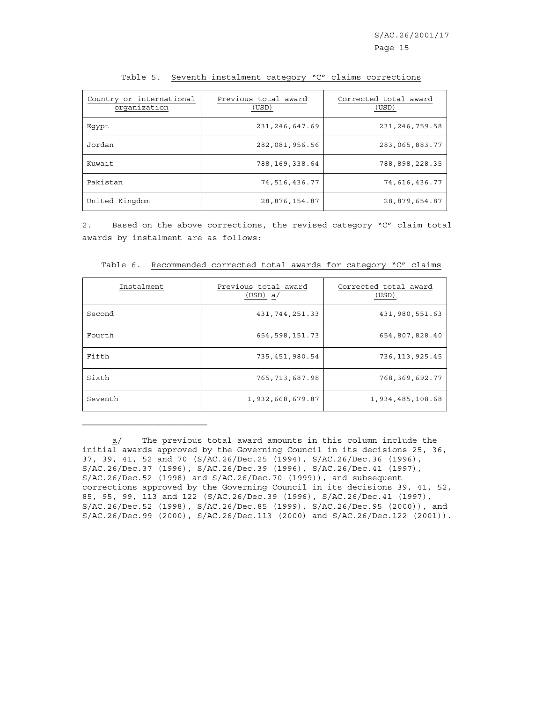| Country or international<br>organization | Previous total award<br>(USD) | Corrected total award<br>(USD) |
|------------------------------------------|-------------------------------|--------------------------------|
| Eqypt                                    | 231, 246, 647.69              | 231, 246, 759.58               |
| Jordan                                   | 282,081,956.56                | 283,065,883.77                 |
| Kuwait                                   | 788,169,338.64                | 788,898,228.35                 |
| Pakistan                                 | 74,516,436.77                 | 74,616,436.77                  |
| United Kingdom                           | 28,876,154.87                 | 28,879,654.87                  |

Table 5. Seventh instalment category "C" claims corrections

2. Based on the above corrections, the revised category "C" claim total awards by instalment are as follows:

| Instalment | Previous total award<br>(USD) a/ | Corrected total award<br>(USD) |
|------------|----------------------------------|--------------------------------|
| Second     | 431, 744, 251.33                 | 431,980,551.63                 |
| Fourth     | 654, 598, 151.73                 | 654,807,828.40                 |
| Fifth      | 735,451,980.54                   | 736, 113, 925.45               |
| Sixth      | 765, 713, 687.98                 | 768,369,692.77                 |
| Seventh    | 1,932,668,679.87                 | 1,934,485,108.68               |

Table 6. Recommended corrected total awards for category "C" claims

a/ The previous total award amounts in this column include the initial awards approved by the Governing Council in its decisions 25, 36, 37, 39, 41, 52 and 70 (S/AC.26/Dec.25 (1994), S/AC.26/Dec.36 (1996), S/AC.26/Dec.37 (1996), S/AC.26/Dec.39 (1996), S/AC.26/Dec.41 (1997), S/AC.26/Dec.52 (1998) and S/AC.26/Dec.70 (1999)), and subsequent corrections approved by the Governing Council in its decisions 39, 41, 52, 85, 95, 99, 113 and 122 (S/AC.26/Dec.39 (1996), S/AC.26/Dec.41 (1997), S/AC.26/Dec.52 (1998), S/AC.26/Dec.85 (1999), S/AC.26/Dec.95 (2000)), and S/AC.26/Dec.99 (2000), S/AC.26/Dec.113 (2000) and S/AC.26/Dec.122 (2001)).